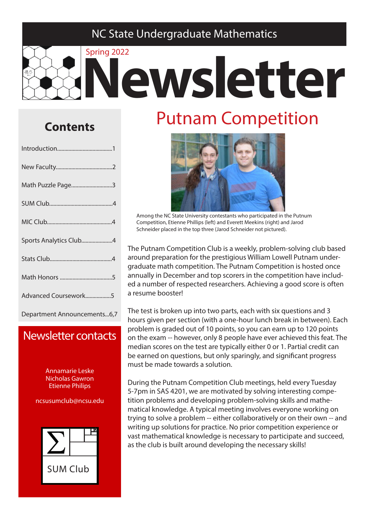#### NC State Undergraduate Mathematics

# Spring 2022 **Newsletter**

#### **Contents**

| Math Puzzle Page3      |
|------------------------|
|                        |
|                        |
| Sports Analytics Club4 |
|                        |
|                        |
| Advanced Coursework5   |
|                        |

Department Announcements...6,7

#### Newsletter contacts

Annamarie Leske Nicholas Gawron Etienne Philips

ncsusumclub@ncsu.edu



# Putnam Competition



Among the NC State University contestants who participated in the Putnum Competition, Etienne Phillips (left) and Everett Meekins (right) and Jarod Schneider placed in the top three (Jarod Schneider not pictured).

The Putnam Competition Club is a weekly, problem-solving club based around preparation for the prestigious William Lowell Putnam undergraduate math competition. The Putnam Competition is hosted once annually in December and top scorers in the competition have included a number of respected researchers. Achieving a good score is often a resume booster!

The test is broken up into two parts, each with six questions and 3 hours given per section (with a one-hour lunch break in between). Each problem is graded out of 10 points, so you can earn up to 120 points on the exam -- however, only 8 people have ever achieved this feat. The median scores on the test are typically either 0 or 1. Partial credit can be earned on questions, but only sparingly, and significant progress must be made towards a solution.

During the Putnam Competition Club meetings, held every Tuesday 5-7pm in SAS 4201, we are motivated by solving interesting competition problems and developing problem-solving skills and mathematical knowledge. A typical meeting involves everyone working on trying to solve a problem -- either collaboratively or on their own -- and writing up solutions for practice. No prior competition experience or vast mathematical knowledge is necessary to participate and succeed, as the club is built around developing the necessary skills!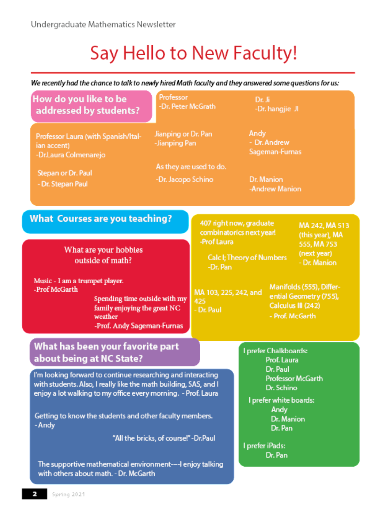# Say Hello to New Faculty!

We recently had the chance to talk to newly hired Math faculty and they answered some questions for us:

| How do you like to be<br>addressed by students?                                                                                                                                                                                                                                                                | Professor<br>-Dr. Peter McGrath               |                                                                                                                                           | Dr. Ji<br>-Dr. hangjie JI                                                                                                                                                |                                            |
|----------------------------------------------------------------------------------------------------------------------------------------------------------------------------------------------------------------------------------------------------------------------------------------------------------------|-----------------------------------------------|-------------------------------------------------------------------------------------------------------------------------------------------|--------------------------------------------------------------------------------------------------------------------------------------------------------------------------|--------------------------------------------|
| Jianping or Dr. Pan<br>Professor Laura (with Spanish/Ital-<br>-Jianping Pan<br>ian accent)<br>-Dr.Laura Colmenarejo                                                                                                                                                                                            |                                               | Andy<br>- Dr. Andrew<br>Sageman-Furnas                                                                                                    |                                                                                                                                                                          |                                            |
| Stepan or Dr. Paul<br>- Dr. Stepan Paul                                                                                                                                                                                                                                                                        | As they are used to do.<br>-Dr. Jacopo Schino |                                                                                                                                           | Dr. Manion<br>-Andrew Manion                                                                                                                                             |                                            |
| <b>What Courses are you teaching?</b>                                                                                                                                                                                                                                                                          |                                               | 407 right now, graduate<br>combinatorics next year!                                                                                       |                                                                                                                                                                          | MA 242, MA 513<br>(this year), MA          |
| What are your hobbies<br>outside of math?<br>Music - I am a trumpet player.<br>-Prof McGarth<br>Spending time outside with my<br>family enjoying the great NC<br>weather<br>-Prof. Andy Sageman-Furnas                                                                                                         |                                               | -Prof Laura<br>Calc I; Theory of Numbers<br>-Dr. Pan                                                                                      |                                                                                                                                                                          | 555, MA 753<br>(next year)<br>- Dr. Manion |
|                                                                                                                                                                                                                                                                                                                |                                               | Manifolds (555), Differ-<br>MA 103, 225, 242, and<br>ential Geometry (755),<br>425<br>Calculus III (242)<br>- Dr. Paul<br>- Prof. McGarth |                                                                                                                                                                          |                                            |
| What has been your favorite part<br>about being at NC State?                                                                                                                                                                                                                                                   |                                               |                                                                                                                                           | I prefer Chalkboards:<br>Prof. Laura<br>Dr. Paul<br><b>Professor McGarth</b><br>Dr. Schino<br>I prefer white boards:<br>Andy<br>Dr. Manion<br>Dr. Pan<br>I prefer iPads: |                                            |
| I'm looking forward to continue researching and interacting<br>with students. Also, I really like the math building, SAS, and I<br>enjoy a lot walking to my office every morning. - Prof. Laura<br>Getting to know the students and other faculty members.<br>- Andy<br>"All the bricks, of course!" -Dr.Paul |                                               |                                                                                                                                           |                                                                                                                                                                          |                                            |
| The supportive mathematical environment---I enjoy talking<br>with others about math. - Dr. McGarth                                                                                                                                                                                                             |                                               |                                                                                                                                           | Dr. Pan                                                                                                                                                                  |                                            |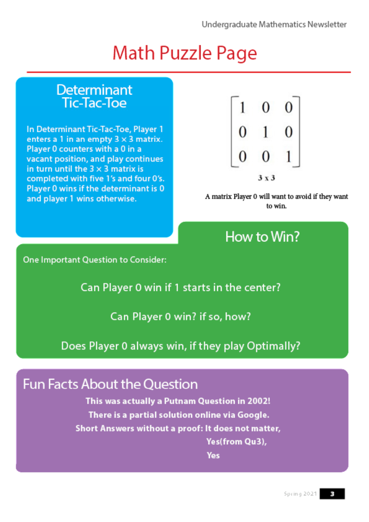# Math Puzzle Page

#### **Determinant Tic-Tac-Toe**

In Determinant Tic-Tac-Toe, Player 1 enters a 1 in an empty  $3 \times 3$  matrix. Player 0 counters with a 0 in a vacant position, and play continues in turn until the  $3 \times 3$  matrix is completed with five 1's and four 0's. Player 0 wins if the determinant is 0 and player 1 wins otherwise.



A matrix Player 0 will want to avoid if they want to win.

### How to Win?

One Important Question to Consider:

Can Player 0 win if 1 starts in the center?

Can Player 0 win? if so, how?

Does Player 0 always win, if they play Optimally?

#### **Fun Facts About the Question**

This was actually a Putnam Question in 2002! There is a partial solution online via Google. Short Answers without a proof: It does not matter,

Yes(from Qu3),

Yes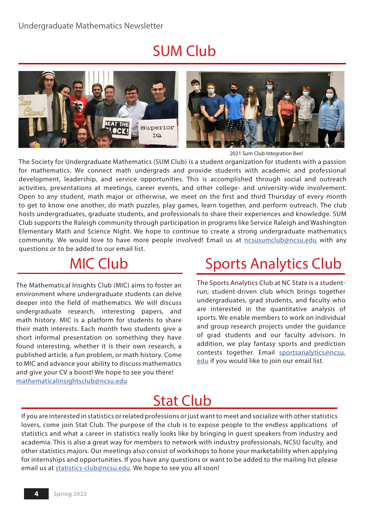# SUM Club





2021 Sum Club Integration Bee!

The Society for Undergraduate Mathematics (SUM Club) is a student organization for students with a passion for mathematics. We connect math undergrads and provide students with academic and professional development, leadership, and service opportunities. This is accomplished through social and outreach activities, presentations at meetings, career events, and other college- and university-wide involvement. Open to any student, math major or otherwise, we meet on the first and third Thursday of every month to get to know one another, do math puzzles, play games, learn together, and perform outreach. The club hosts undergraduates, graduate students, and professionals to share their experiences and knowledge. SUM Club supports the Raleigh community through participation in programs like Service Raleigh and Washington Elementary Math and Science Night. We hope to continue to create a strong undergraduate mathematics community. We would love to have more people involved! Email us at ncsusumclub@ncsu.edu with any questions or to be added to our email list.

# MIC Club

The Mathematical Insights Club (MIC) aims to foster an environment where undergraduate students can delve deeper into the field of mathematics. We will discuss undergraduate research, interesting papers, and math history. MIC is a platform for students to share their math interests. Each month two students give a short informal presentation on something they have found interesting, whether it is their own research, a published article, a fun problem, or math history. Come to MIC and advance your ability to discuss mathematics and give your CV a boost! We hope to see you there! mathematicalinsightsclub@ncsu.edu

# Sports Analytics Club

The Sports Analytics Club at NC State is a studentrun, student-driven club which brings together undergraduates, grad students, and faculty who are interested in the quantitative analysis of sports. We enable members to work on individual and group research projects under the guidance of grad students and our faculty advisors. In addition, we play fantasy sports and prediction contests together. Email sportsanalytics@ncsu. edu if you would like to join our email list.

# Stat Club

If you are interested in statistics or related professions or just want to meet and socialize with other statistics lovers, come join Stat Club. The purpose of the club is to expose people to the endless applications of statistics and what a career in statistics really looks like by bringing in guest speakers from industry and academia. This is also a great way for members to network with industry professionals, NCSU faculty, and other statistics majors. Our meetings also consist of workshops to hone your marketability when applying for internships and opportunities. If you have any questions or want to be added to the mailing list please email us at statistics-club@ncsu.edu. We hope to see you all soon!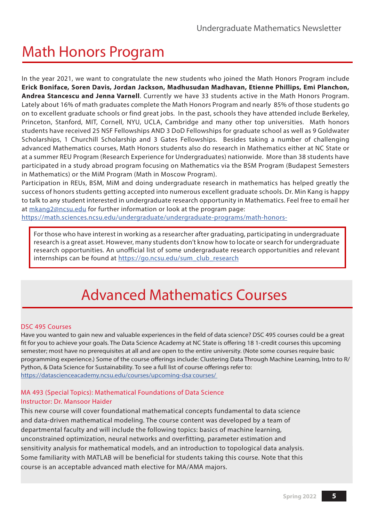# Math Honors Program

In the year 2021, we want to congratulate the new students who joined the Math Honors Program include **Erick Boniface, Soren Davis, Jordan Jackson, Madhusudan Madhavan, Etienne Phillips, Emi Planchon, Andrea Stancescu and Jenna Varnell**. Currently we have 33 students active in the Math Honors Program. Lately about 16% of math graduates complete the Math Honors Program and nearly 85% of those students go on to excellent graduate schools or find great jobs. In the past, schools they have attended include Berkeley, Princeton, Stanford, MIT, Cornell, NYU, UCLA, Cambridge and many other top universities. Math honors students have received 25 NSF Fellowships AND 3 DoD Fellowships for graduate school as well as 9 Goldwater Scholarships, 1 Churchill Scholarship and 3 Gates Fellowships. Besides taking a number of challenging advanced Mathematics courses, Math Honors students also do research in Mathematics either at NC State or at a summer REU Program (Research Experience for Undergraduates) nationwide. More than 38 students have participated in a study abroad program focusing on Mathematics via the BSM Program (Budapest Semesters in Mathematics) or the MiM Program (Math in Moscow Program).

Participation in REUs, BSM, MiM and doing undergraduate research in mathematics has helped greatly the success of honors students getting accepted into numerous excellent graduate schools. Dr. Min Kang is happy to talk to any student interested in undergraduate research opportunity in Mathematics. Feel free to email her at mkang2@ncsu.edu for further information or look at the program page:

https://math.sciences.ncsu.edu/undergraduate/undergraduate-programs/math-honors-

For those who have interest in working as a researcher after graduating, participating in undergraduate research is a great asset. However, many students don't know how to locate or search for undergraduate research opportunities. An unofficial list of some undergraduate research opportunities and relevant internships can be found at https://go.ncsu.edu/sum\_club\_research

### Advanced Mathematics Courses

#### DSC 495 Courses

Have you wanted to gain new and valuable experiences in the field of data science? DSC 495 courses could be a great fit for you to achieve your goals. The Data Science Academy at NC State is offering 18 1-credit courses this upcoming semester; most have no prerequisites at all and are open to the entire university. (Note some courses require basic programming experience.) Some of the course offerings include: Clustering Data Through Machine Learning, Intro to R/ Python, & Data Science for Sustainability. To see a full list of course offerings refer to: https://datascienceacademy.ncsu.edu/courses/upcoming-dsa<sup>-</sup>courses/

#### MA 493 (Special Topics): Mathematical Foundations of Data Science Instructor: Dr. Mansoor Haider

This new course will cover foundational mathematical concepts fundamental to data science and data-driven mathematical modeling. The course content was developed by a team of departmental faculty and will include the following topics: basics of machine learning, unconstrained optimization, neural networks and overfitting, parameter estimation and sensitivity analysis for mathematical models, and an introduction to topological data analysis. Some familiarity with MATLAB will be beneficial for students taking this course. Note that this course is an acceptable advanced math elective for MA/AMA majors.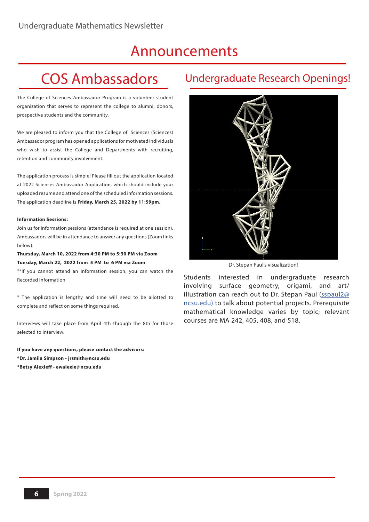#### Announcements

# COS Ambassadors

The College of Sciences Ambassador Program is a volunteer student organization that serves to represent the college to alumni, donors, prospective students and the community.

We are pleased to inform you that the College of Sciences (Sciences) Ambassador program has opened applications for motivated individuals who wish to assist the College and Departments with recruiting, retention and community involvement.

The application process is simple! Please fill out the application located at 2022 Sciences Ambassador Application, which should include your uploaded resume and attend one of the scheduled information sessions. The application deadline is **Friday, March 25, 2022 by 11:59pm.**

#### **Information Sessions:**

Join us for information sessions (attendance is required at one session). Ambassadors will be in attendance to answer any questions (Zoom links below):

**Thursday, March 10, 2022 from 4:30 PM to 5:30 PM via Zoom Tuesday, March 22, 2022 from 5 PM to 6 PM via Zoom**

\*\*If you cannot attend an information session, you can watch the Recorded Information

\* The application is lengthy and time will need to be allotted to complete and reflect on some things required.

Interviews will take place from April 4th through the 8th for those selected to interview.

**If you have any questions, please contact the advisors: \*Dr. Jamila Simpson - jrsmith@ncsu.edu \*Betsy Alexieff - ewalexie@ncsu.edu**

#### Undergraduate Research Openings!



Dr. Stepan Paul's visualization!

Students interested in undergraduate research involving surface geometry, origami, and art/ illustration can reach out to Dr. Stepan Paul (sspaul2@ ncsu.edu) to talk about potential projects. Prerequisite mathematical knowledge varies by topic; relevant courses are MA 242, 405, 408, and 518.